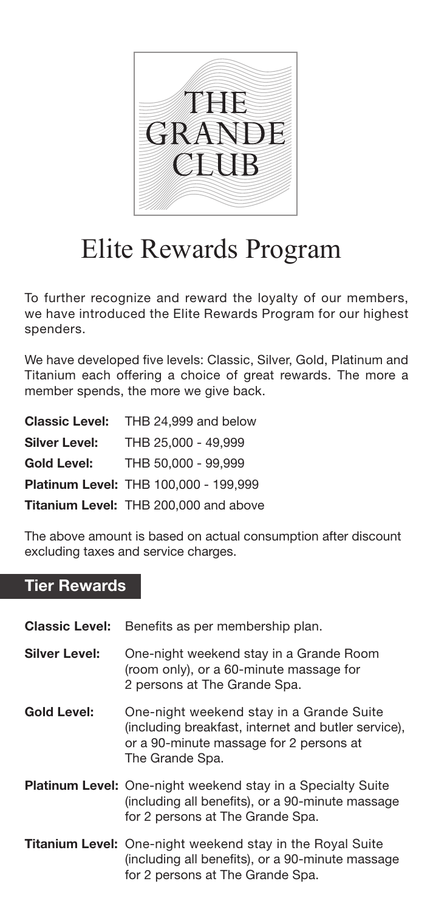

## Elite Rewards Program

To further recognize and reward the loyalty of our members, we have introduced the Elite Rewards Program for our highest spenders.

We have developed five levels: Classic, Silver, Gold, Platinum and Titanium each offering a choice of great rewards. The more a member spends, the more we give back.

|                      | <b>Classic Level:</b> THB 24.999 and below |
|----------------------|--------------------------------------------|
| <b>Silver Level:</b> | THB 25,000 - 49,999                        |
| <b>Gold Level:</b>   | THB 50.000 - 99.999                        |
|                      | Platinum Level: THB 100,000 - 199.999      |
|                      | Titanium Level: THB 200,000 and above      |

The above amount is based on actual consumption after discount excluding taxes and service charges.

## Tier Rewards

| <b>Classic Level:</b> | Benefits as per membership plan.                                                                                                                              |
|-----------------------|---------------------------------------------------------------------------------------------------------------------------------------------------------------|
| <b>Silver Level:</b>  | One-night weekend stay in a Grande Room<br>(room only), or a 60-minute massage for<br>2 persons at The Grande Spa.                                            |
| <b>Gold Level:</b>    | One-night weekend stay in a Grande Suite<br>(including breakfast, internet and butler service),<br>or a 90-minute massage for 2 persons at<br>The Grande Spa. |
|                       | <b>Platinum Level:</b> One-night weekend stay in a Specialty Suite<br>(including all benefits), or a 90-minute massage<br>for 2 persons at The Grande Spa.    |
|                       | <b>Titanium Level:</b> One-night weekend stay in the Royal Suite<br>(including all benefits), or a 90-minute massage<br>for 2 persons at The Grande Spa.      |